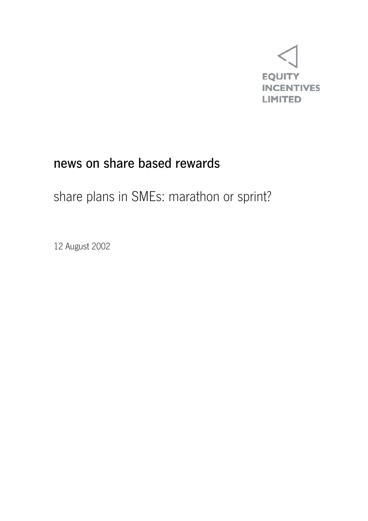

## news on share based rewards

## share plans in SMEs: marathon or sprint?

12 August 2002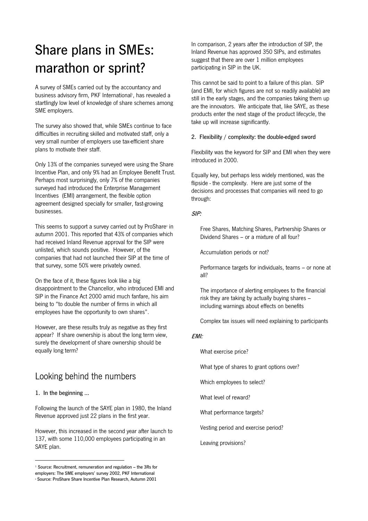# Share plans in SMEs: marathon or sprint?

A survey of SMEs carried out by the accountancy and business advisory firm, PKF International<sup>1</sup>, has revealed a startlingly low level of knowledge of share schemes among SME employers.

The survey also showed that, while SMEs continue to face difficulties in recruiting skilled and motivated staff, only a very small number of employers use tax-efficient share plans to motivate their staff.

Only 13% of the companies surveyed were using the Share Incentive Plan, and only 9% had an Employee Benefit Trust. Perhaps most surprisingly, only 7% of the companies surveyed had introduced the Enterprise Management Incentives (EMI) arrangement, the flexible option agreement designed specially for smaller, fast-growing businesses.

This seems to support a survey carried out by ProShare<sup>2</sup> in autumn 2001. This reported that 43% of companies which had received Inland Revenue approval for the SIP were unlisted, which sounds positive. However, of the companies that had not launched their SIP at the time of that survey, some 50% were privately owned.

On the face of it, these figures look like a big disappointment to the Chancellor, who introduced EMI and SIP in the Finance Act 2000 amid much fanfare, his aim being to "to double the number of firms in which all employees have the opportunity to own shares".

However, are these results truly as negative as they first appear? If share ownership is about the long term view, surely the development of share ownership should be equally long term?

### Looking behind the numbers

1. In the beginning …

l

Following the launch of the SAYE plan in 1980, the Inland Revenue approved just 22 plans in the first year.

However, this increased in the second year after launch to 137, with some 110,000 employees participating in an SAYE plan.

In comparison, 2 years after the introduction of SIP, the Inland Revenue has approved 350 SIPs, and estimates suggest that there are over 1 million employees participating in SIP in the UK.

This cannot be said to point to a failure of this plan. SIP (and EMI, for which figures are not so readily available) are still in the early stages, and the companies taking them up are the innovators. We anticipate that, like SAYE, as these products enter the next stage of the product lifecycle, the take up will increase significantly.

#### 2. Flexibility / complexity: the double-edged sword

Flexibility was the keyword for SIP and EMI when they were introduced in 2000.

Equally key, but perhaps less widely mentioned, was the flipside - the complexity. Here are just some of the decisions and processes that companies will need to go through:

#### SIP:

 Free Shares, Matching Shares, Partnership Shares or Dividend Shares – or a mixture of all four?

Accumulation periods or not?

 Performance targets for individuals, teams – or none at all?

 The importance of alerting employees to the financial risk they are taking by actually buying shares – including warnings about effects on benefits

Complex tax issues will need explaining to participants

#### EMI:

What exercise price?

What type of shares to grant options over?

Which employees to select?

What level of reward?

What performance targets?

Vesting period and exercise period?

Leaving provisions?

 $1$  Source: Recruitment, remuneration and regulation  $-$  the 3Rs for employers: The SME employers' survey 2002, PKF International

<sup>2</sup> Source: ProShare Share Incentive Plan Research, Autumn 2001